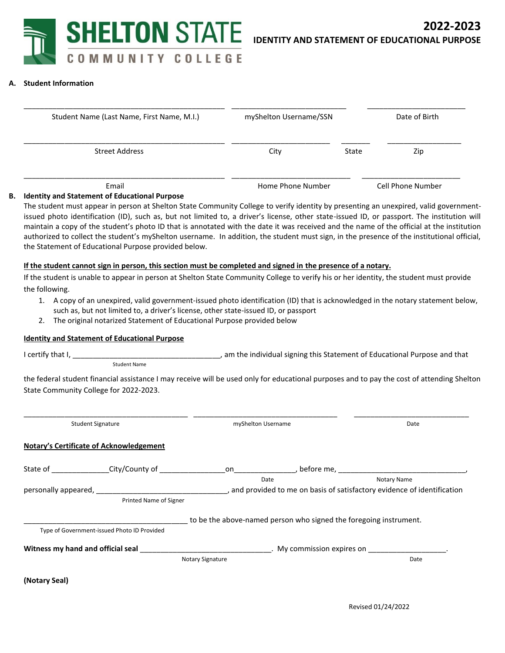

### **A. Student Information**

| Student Name (Last Name, First Name, M.I.) | myShelton Username/SSN |       | Date of Birth     |
|--------------------------------------------|------------------------|-------|-------------------|
| <b>Street Address</b>                      | City                   | State | Zip               |
| Email                                      | Home Phone Number      |       | Cell Phone Number |

#### **B. Identity and Statement of Educational Purpose**

The student must appear in person at Shelton State Community College to verify identity by presenting an unexpired, valid governmentissued photo identification (ID), such as, but not limited to, a driver's license, other state-issued ID, or passport. The institution will maintain a copy of the student's photo ID that is annotated with the date it was received and the name of the official at the institution authorized to collect the student's myShelton username. In addition, the student must sign, in the presence of the institutional official, the Statement of Educational Purpose provided below.

### **If the student cannot sign in person, this section must be completed and signed in the presence of a notary.**

If the student is unable to appear in person at Shelton State Community College to verify his or her identity, the student must provide the following.

- 1. A copy of an unexpired, valid government-issued photo identification (ID) that is acknowledged in the notary statement below, such as, but not limited to, a driver's license, other state-issued ID, or passport
- 2. The original notarized Statement of Educational Purpose provided below

### **Identity and Statement of Educational Purpose**

I certify that I, \_\_\_\_\_\_\_\_\_\_\_\_\_\_\_\_\_\_\_\_\_\_\_\_\_\_\_\_\_\_\_\_\_\_\_\_, am the individual signing this Statement of Educational Purpose and that Student Name

the federal student financial assistance I may receive will be used only for educational purposes and to pay the cost of attending Shelton State Community College for 2022-2023.

| <b>Student Signature</b> |                                                | myShelton Username |                                                                   | Date                                                                     |
|--------------------------|------------------------------------------------|--------------------|-------------------------------------------------------------------|--------------------------------------------------------------------------|
|                          | <b>Notary's Certificate of Acknowledgement</b> |                    |                                                                   |                                                                          |
|                          | State of City/County of                        |                    |                                                                   |                                                                          |
|                          |                                                | Date               |                                                                   | Notary Name                                                              |
|                          |                                                |                    |                                                                   | , and provided to me on basis of satisfactory evidence of identification |
|                          | Printed Name of Signer                         |                    |                                                                   |                                                                          |
|                          |                                                |                    | to be the above-named person who signed the foregoing instrument. |                                                                          |
|                          | Type of Government-issued Photo ID Provided    |                    |                                                                   |                                                                          |
|                          | Witness my hand and official seal              |                    |                                                                   |                                                                          |
|                          |                                                | Notary Signature   |                                                                   | Date                                                                     |
| (Notary Seal)            |                                                |                    |                                                                   |                                                                          |